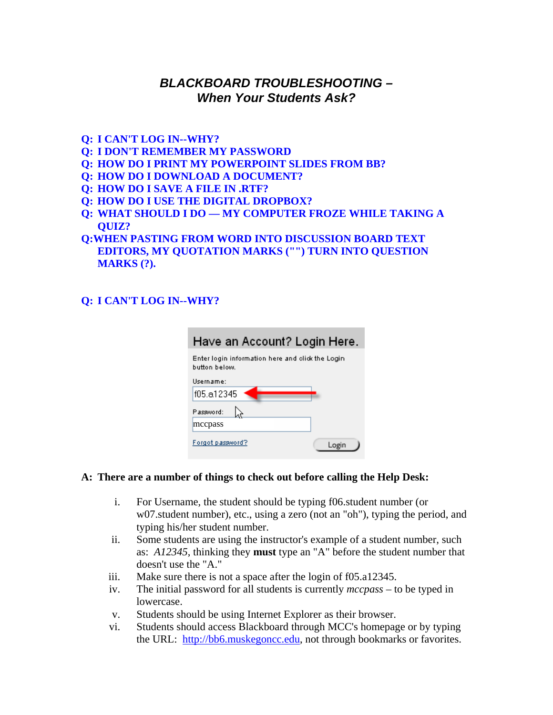# *BLACKBOARD TROUBLESHOOTING – When Your Students Ask?*

### **[Q: I CAN'T LOG IN--WHY?](#page-0-0)**

- **[Q: I DON'T REMEMBER MY PASSWORD](#page-1-0)**
- **[Q: HOW DO I PRINT MY POWERPOINT SLIDES FROM BB?](#page-2-0)**
- **[Q: HOW DO I DOWNLOAD A DOCUMENT?](#page-3-0)**
- **[Q: HOW DO I SAVE A FILE IN .RTF?](#page-3-1)**
- **[Q: HOW DO I USE THE DIGITAL DROPBOX?](#page-3-2)**
- **[Q: WHAT SHOULD I DO MY COMPUTER FROZE WHILE TAKING A](#page-4-0)  [QUIZ?](#page-4-0)**
- **[Q:WHEN PASTING FROM WORD INTO DISCUSSION BOARD TEXT](#page-4-1)  [EDITORS, MY QUOTATION MARKS \(""\) TURN INTO QUESTION](#page-4-1)  [MARKS \(?\).](#page-4-1)**

### <span id="page-0-0"></span>**Q: I CAN'T LOG IN--WHY?**

| Have an Account? Login Here.                                      |  |  |  |  |
|-------------------------------------------------------------------|--|--|--|--|
| Enter login information here and click the Login<br>button below. |  |  |  |  |
| Username:                                                         |  |  |  |  |
| f05.a12345                                                        |  |  |  |  |
| Plassword:                                                        |  |  |  |  |
| mccpass                                                           |  |  |  |  |
| Forgot password?                                                  |  |  |  |  |

### **A: There are a number of things to check out before calling the Help Desk:**

- i. For Username, the student should be typing f06.student number (or w07.student number), etc., using a zero (not an "oh"), typing the period, and typing his/her student number.
- ii. Some students are using the instructor's example of a student number, such as: *A12345*, thinking they **must** type an "A" before the student number that doesn't use the "A."
- iii. Make sure there is not a space after the login of f05.a12345.
- iv. The initial password for all students is currently *mccpass* to be typed in lowercase.
- v. Students should be using Internet Explorer as their browser.
- vi. Students should access Blackboard through MCC's homepage or by typing the URL: [http://bb6.muskegoncc.edu](http://bb6.muskegoncc.edu/), not through bookmarks or favorites.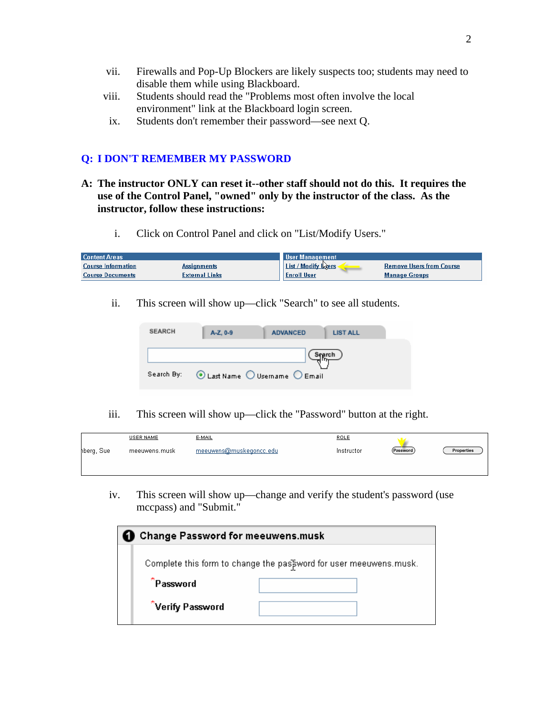- vii. Firewalls and Pop-Up Blockers are likely suspects too; students may need to disable them while using Blackboard.
- viii. Students should read the "Problems most often involve the local environment" link at the Blackboard login screen.
	- ix. Students don't remember their password—see next Q.

### <span id="page-1-0"></span>**Q: I DON'T REMEMBER MY PASSWORD**

- **A: The instructor ONLY can reset it--other staff should not do this. It requires the use of the Control Panel, "owned" only by the instructor of the class. As the instructor, follow these instructions:** 
	- i. Click on Control Panel and click on "List/Modify Users."

| <b>Content Areas</b>      |                | I User Management   |                                 |  |
|---------------------------|----------------|---------------------|---------------------------------|--|
| <b>Course Information</b> | Assignments    | List / Modify Leers | <b>Remove Users from Course</b> |  |
| <b>Course Documents</b>   | External Links | <b>Enroll User</b>  | <b>Manage Groups</b>            |  |

ii. This screen will show up—click "Search" to see all students.



iii. This screen will show up—click the "Password" button at the right.

|            | USER NAME     | E-MAIL                  | <b>ROLE</b> |            |            |
|------------|---------------|-------------------------|-------------|------------|------------|
| hberg, Sue | meeuwens.musk | meeuwens@muskegoncc.edu | Instructor  | (Password) | Properties |
|            |               |                         |             |            |            |

iv. This screen will show up—change and verify the student's password (use mccpass) and "Submit."

| Change Password for meeuwens.musk                                 |  |  |  |  |  |
|-------------------------------------------------------------------|--|--|--|--|--|
| Complete this form to change the password for user meeuwens.musk. |  |  |  |  |  |
| <sup>*</sup> Password                                             |  |  |  |  |  |
| *Verify Password                                                  |  |  |  |  |  |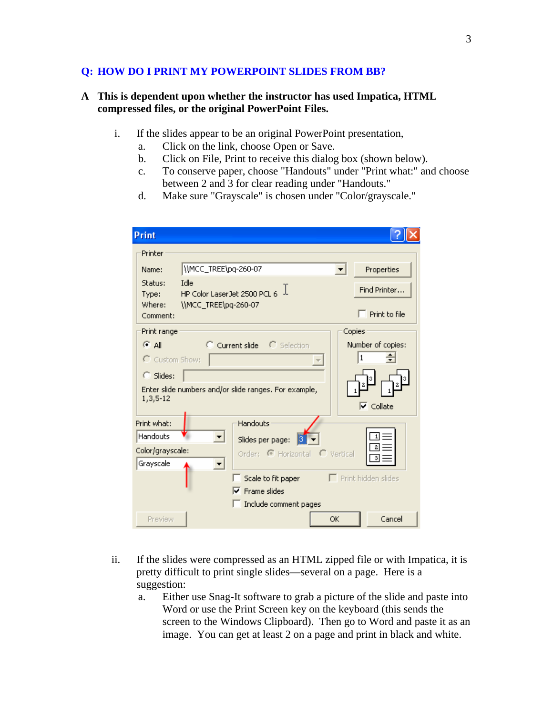### <span id="page-2-0"></span>**Q: HOW DO I PRINT MY POWERPOINT SLIDES FROM BB?**

### **A This is dependent upon whether the instructor has used Impatica, HTML compressed files, or the original PowerPoint Files.**

- i. If the slides appear to be an original PowerPoint presentation,
	- a. Click on the link, choose Open or Save.
	- b. Click on File, Print to receive this dialog box (shown below).
	- c. To conserve paper, choose "Handouts" under "Print what:" and choose between 2 and 3 for clear reading under "Handouts."
	- d. Make sure "Grayscale" is chosen under "Color/grayscale."

| <b>Print</b>                                                                |                                                                                      |        |                                                           |
|-----------------------------------------------------------------------------|--------------------------------------------------------------------------------------|--------|-----------------------------------------------------------|
| Printer                                                                     |                                                                                      |        |                                                           |
| \\MCC_TREE\pq-260-07<br>Name:                                               |                                                                                      |        | Properties                                                |
| Idle<br>Status:<br>Type:<br>Where:<br>\\MCC_TREE\pq-260-07                  | HP Color LaserJet 2500 PCL 6                                                         |        | Find Printer<br>Print to file                             |
| Comment:                                                                    |                                                                                      |        |                                                           |
| Print range<br>$\times$ All<br>C Custom Show:<br>$\Box$ Slides:<br>1,3,5-12 | C Current slide C Selection<br>Enter slide numbers and/or slide ranges. For example, | Copies | Number of copies:<br>1<br>$\overline{\mathsf{v}}$ Collate |
| Print what:<br>Handouts<br>▼<br>Color/grayscale:<br>Grayscale               | Handouts<br>Slides per page:<br>13<br>Order: C Horizontal C Vertical                 |        |                                                           |
|                                                                             | Scale to fit paper<br>$\overline{\mathsf{v}}$ Frame slides<br>Include comment pages  |        | $\Box$ Print hidden slides                                |
| Preview                                                                     |                                                                                      | OK     | Cancel                                                    |

- ii. If the slides were compressed as an HTML zipped file or with Impatica, it is pretty difficult to print single slides—several on a page. Here is a suggestion:
	- a. Either use Snag-It software to grab a picture of the slide and paste into Word or use the Print Screen key on the keyboard (this sends the screen to the Windows Clipboard). Then go to Word and paste it as an image. You can get at least 2 on a page and print in black and white.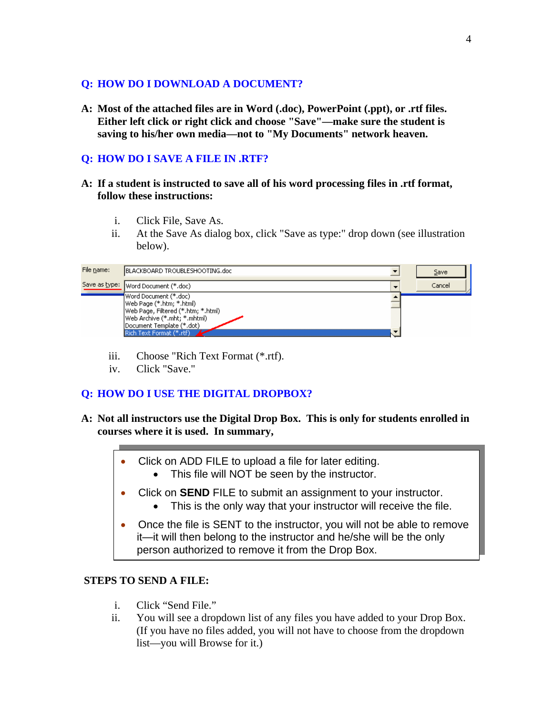### <span id="page-3-0"></span>**Q: HOW DO I DOWNLOAD A DOCUMENT?**

**A: Most of the attached files are in Word (.doc), PowerPoint (.ppt), or .rtf files. Either left click or right click and choose "Save"—make sure the student is saving to his/her own media—not to "My Documents" network heaven.** 

# <span id="page-3-1"></span>**Q: HOW DO I SAVE A FILE IN .RTF?**

- **A: If a student is instructed to save all of his word processing files in .rtf format, follow these instructions:** 
	- i. Click File, Save As.
	- ii. At the Save As dialog box, click "Save as type:" drop down (see illustration below).

| File name: | IBLACKBOARD TROUBLESHOOTING.doc       |  | Save   |
|------------|---------------------------------------|--|--------|
|            | Save as type:   Word Document (*.doc) |  | Cancel |
|            | Word Document (*.doc)                 |  |        |
|            | Web Page (*.htm; *.html)              |  |        |
|            | Web Page, Filtered (*.htm; *.html)    |  |        |
|            | Web Archive (*.mht; *.mhtml)          |  |        |
|            | Document Template (*.dot)             |  |        |
|            | Rich Text Format (*.rtf)              |  |        |

- iii. Choose "Rich Text Format (\*.rtf).
- iv. Click "Save."

## <span id="page-3-2"></span>**Q: HOW DO I USE THE DIGITAL DROPBOX?**

- **A: Not all instructors use the Digital Drop Box. This is only for students enrolled in courses where it is used. In summary,** 
	- Click on ADD FILE to upload a file for later editing.
		- This file will NOT be seen by the instructor.
	- Click on **SEND** FILE to submit an assignment to your instructor.
		- This is the only way that your instructor will receive the file.
	- Once the file is SENT to the instructor, you will not be able to remove it—it will then belong to the instructor and he/she will be the only person authorized to remove it from the Drop Box.

### **STEPS TO SEND A FILE:**

- i. Click "Send File."
- ii. You will see a dropdown list of any files you have added to your Drop Box. (If you have no files added, you will not have to choose from the dropdown list—you will Browse for it.)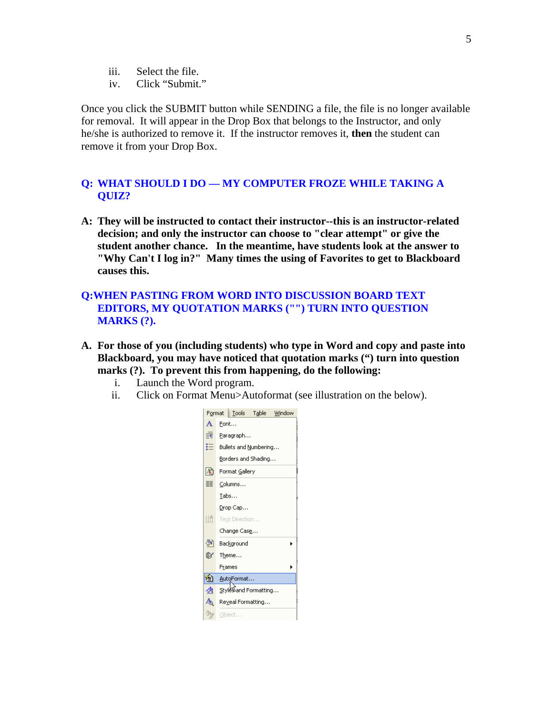- iii. Select the file.
- iv. Click "Submit."

Once you click the SUBMIT button while SENDING a file, the file is no longer available for removal. It will appear in the Drop Box that belongs to the Instructor, and only he/she is authorized to remove it. If the instructor removes it, **then** the student can remove it from your Drop Box.

### <span id="page-4-0"></span>**Q: WHAT SHOULD I DO — MY COMPUTER FROZE WHILE TAKING A QUIZ?**

**A: They will be instructed to contact their instructor--this is an instructor-related decision; and only the instructor can choose to "clear attempt" or give the student another chance. In the meantime, have students look at the answer to "Why Can't I log in?" Many times the using of Favorites to get to Blackboard causes this.** 

### <span id="page-4-1"></span>**Q:WHEN PASTING FROM WORD INTO DISCUSSION BOARD TEXT EDITORS, MY QUOTATION MARKS ("") TURN INTO QUESTION MARKS (?).**

- **A. For those of you (including students) who type in Word and copy and paste into Blackboard, you may have noticed that quotation marks (") turn into question marks (?). To prevent this from happening, do the following:** 
	- i. Launch the Word program.
	- ii. Click on Format Menu>Autoformat (see illustration on the below).

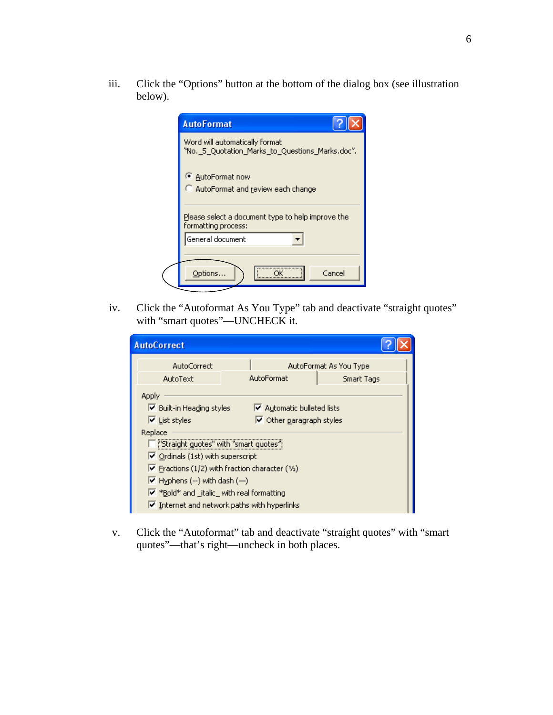iii. Click the "Options" button at the bottom of the dialog box (see illustration below).

| <b>AutoFormat</b>                                                                            |  |  |  |  |  |
|----------------------------------------------------------------------------------------------|--|--|--|--|--|
| Word will automatically format<br>"No._5_Quotation_Marks_to_Questions_Marks.doc".            |  |  |  |  |  |
| AutoFormat now<br>AutoFormat and review each change                                          |  |  |  |  |  |
| Please select a document type to help improve the<br>formatting process:<br>General document |  |  |  |  |  |
| Cancel<br>Options<br>∩K                                                                      |  |  |  |  |  |

iv. Click the "Autoformat As You Type" tab and deactivate "straight quotes" with "smart quotes"—UNCHECK it.

| <b>AutoCorrect</b>                                                  |                                                               |                        |
|---------------------------------------------------------------------|---------------------------------------------------------------|------------------------|
| <b>AutoCorrect</b>                                                  |                                                               | AutoFormat As You Type |
| AutoText                                                            | AutoFormat                                                    | Smart Tags             |
| <b>Apply</b>                                                        |                                                               |                        |
| Ⅳ Built-in Heading styles                                           | Automatic bulleted lists                                      |                        |
| $\overline{\triangledown}$ List styles                              | $\overline{\mathsf{v}}$ Other paragraph styles                |                        |
| Replace                                                             |                                                               |                        |
| "Straight guotes" with "smart quotes"                               |                                                               |                        |
| $\triangledown$ Ordinals (1st) with superscript                     |                                                               |                        |
|                                                                     | $\triangledown$ Fractions (1/2) with fraction character (1/2) |                        |
| $\overline{\triangledown}$ Hyphens (--) with dash (-)               |                                                               |                        |
| $\overline{\triangledown}$ *Bold* and _italic_ with real formatting |                                                               |                        |
| $\triangledown$ Internet and network paths with hyperlinks          |                                                               |                        |

v. Click the "Autoformat" tab and deactivate "straight quotes" with "smart quotes"—that's right—uncheck in both places.